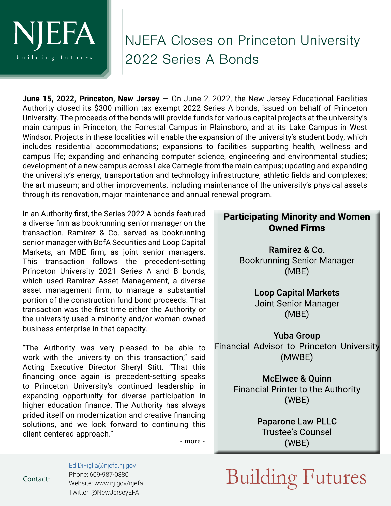

## NJEFA Closes on Princeton University 2022 Series A Bonds

**June 15, 2022, Princeton, New Jersey** — On June 2, 2022, the New Jersey Educational Facilities Authority closed its \$300 million tax exempt 2022 Series A bonds, issued on behalf of Princeton University. The proceeds of the bonds will provide funds for various capital projects at the university's main campus in Princeton, the Forrestal Campus in Plainsboro, and at its Lake Campus in West Windsor. Projects in these localities will enable the expansion of the university's student body, which includes residential accommodations; expansions to facilities supporting health, wellness and campus life; expanding and enhancing computer science, engineering and environmental studies; development of a new campus across Lake Carnegie from the main campus; updating and expanding the university's energy, transportation and technology infrastructure; athletic fields and complexes; the art museum; and other improvements, including maintenance of the university's physical assets through its renovation, major maintenance and annual renewal program.

In an Authority first, the Series 2022 A bonds featured a diverse firm as bookrunning senior manager on the transaction. Ramirez & Co. served as bookrunning senior manager with BofA Securities and Loop Capital Markets, an MBE firm, as joint senior managers. This transaction follows the precedent-setting Princeton University 2021 Series A and B bonds, which used Ramirez Asset Management, a diverse asset management firm, to manage a substantial portion of the construction fund bond proceeds. That transaction was the first time either the Authority or the university used a minority and/or woman owned business enterprise in that capacity.

"The Authority was very pleased to be able to work with the university on this transaction," said Acting Executive Director Sheryl Stitt. "That this financing once again is precedent-setting speaks to Princeton University's continued leadership in expanding opportunity for diverse participation in higher education finance. The Authority has always prided itself on modernization and creative financing solutions, and we look forward to continuing this client-centered approach."

## **Participating Minority and Women Owned Firms**

Ramirez & Co. **Bookrunning Senior Manager**  $(MBE)$ 

> **Loop Capital Markets Joint Senior Manager**  $(MBE)$

**Yuba Group Financial Advisor to Princeton University**  $(MWBE)$ 

> **McElwee & Quinn Financial Printer to the Authority**  $(WBE)$

> > **Paparone Law PLLC Trustee's Counsel**  $(WBE)$

- more -

[Ed.DiFiglia@njefa.nj.gov](mailto:Ed.DiFiglia%40njefa.nj.gov?subject=April%20Board%20Activity%20Release) Phone: 609-987-0880 Website: www.nj.gov/njefa Twitter: @NewJerseyEFA

 $\mathcal{L}_{\text{contact:}}$  Phone: 609-987-0880<br>Website: www.nj.gov/njefa  $\text{Building Futures}$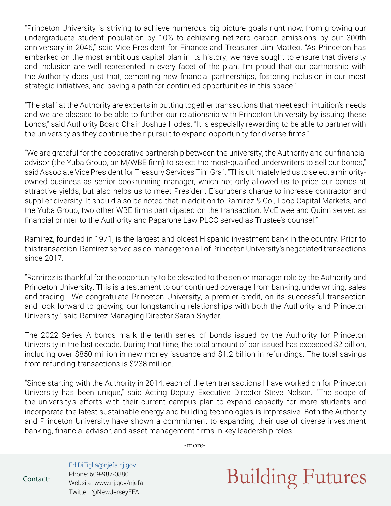"Princeton University is striving to achieve numerous big picture goals right now, from growing our undergraduate student population by 10% to achieving net-zero carbon emissions by our 300th anniversary in 2046," said Vice President for Finance and Treasurer Jim Matteo. "As Princeton has embarked on the most ambitious capital plan in its history, we have sought to ensure that diversity and inclusion are well represented in every facet of the plan. I'm proud that our partnership with the Authority does just that, cementing new financial partnerships, fostering inclusion in our most strategic initiatives, and paving a path for continued opportunities in this space."

"The staff at the Authority are experts in putting together transactions that meet each intuition's needs and we are pleased to be able to further our relationship with Princeton University by issuing these bonds," said Authority Board Chair Joshua Hodes. "It is especially rewarding to be able to partner with the university as they continue their pursuit to expand opportunity for diverse firms."

"We are grateful for the cooperative partnership between the university, the Authority and our financial advisor (the Yuba Group, an M/WBE firm) to select the most-qualified underwriters to sell our bonds," said Associate Vice President for Treasury Services Tim Graf. "This ultimately led us to select a minorityowned business as senior bookrunning manager, which not only allowed us to price our bonds at attractive yields, but also helps us to meet President Eisgruber's charge to increase contractor and supplier diversity. It should also be noted that in addition to Ramirez & Co., Loop Capital Markets, and the Yuba Group, two other WBE firms participated on the transaction: McElwee and Quinn served as financial printer to the Authority and Paparone Law PLCC served as Trustee's counsel."

Ramirez, founded in 1971, is the largest and oldest Hispanic investment bank in the country. Prior to this transaction, Ramirez served as co-manager on all of Princeton University's negotiated transactions since 2017.

"Ramirez is thankful for the opportunity to be elevated to the senior manager role by the Authority and Princeton University. This is a testament to our continued coverage from banking, underwriting, sales and trading. We congratulate Princeton University, a premier credit, on its successful transaction and look forward to growing our longstanding relationships with both the Authority and Princeton University," said Ramirez Managing Director Sarah Snyder.

The 2022 Series A bonds mark the tenth series of bonds issued by the Authority for Princeton University in the last decade. During that time, the total amount of par issued has exceeded \$2 billion, including over \$850 million in new money issuance and \$1.2 billion in refundings. The total savings from refunding transactions is \$238 million.

"Since starting with the Authority in 2014, each of the ten transactions I have worked on for Princeton University has been unique," said Acting Deputy Executive Director Steve Nelson. "The scope of the university's efforts with their current campus plan to expand capacity for more students and incorporate the latest sustainable energy and building technologies is impressive. Both the Authority and Princeton University have shown a commitment to expanding their use of diverse investment banking, financial advisor, and asset management firms in key leadership roles."

-more-

Ed.DiFiglia@njefa.nj.gov Phone: 609-987-0880 Website: www.nj.gov/njefa Twitter: @NewJerseyEFA

## $\mathcal{L}_{\mathsf{contact:}}$  Phone: 609-987-0880  $\mathsf{Building\,Futures}$